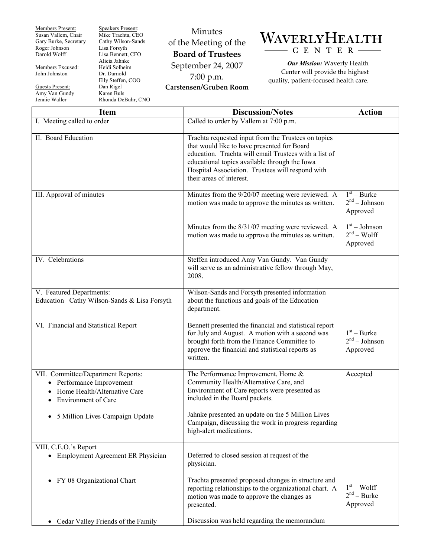Members Present: Susan Vallem, Chair Gary Burke, Secretary Roger Johnson Darold Wolff

Members Excused: John Johnston

Guests Present:

Amy Van Gundy Jennie Waller

Speakers Present: Mike Trachta, CEO Cathy Wilson-Sands Lisa Forsyth Lisa Bennett, CFO Alicia Jahnke Heidi Solheim Dr. Darnold Elly Steffen, COO Dan Rigel Karen Buls Rhonda DeBuhr, CNO

## Minutes of the Meeting of the **Board of Trustees**  September 24, 2007 7:00 p.m. **Carstensen/Gruben Room**



*Our Mission:* Waverly Health Center will provide the highest quality, patient-focused health care.

| <b>Item</b>                                                                                                                   | <b>Discussion/Notes</b>                                                                                                                                                                                                                                                                      | <b>Action</b>                                |
|-------------------------------------------------------------------------------------------------------------------------------|----------------------------------------------------------------------------------------------------------------------------------------------------------------------------------------------------------------------------------------------------------------------------------------------|----------------------------------------------|
| I. Meeting called to order                                                                                                    | Called to order by Vallem at $7:00$ p.m.                                                                                                                                                                                                                                                     |                                              |
| II. Board Education                                                                                                           | Trachta requested input from the Trustees on topics<br>that would like to have presented for Board<br>education. Trachta will email Trustees with a list of<br>educational topics available through the Iowa<br>Hospital Association. Trustees will respond with<br>their areas of interest. |                                              |
| III. Approval of minutes                                                                                                      | Minutes from the 9/20/07 meeting were reviewed. A<br>motion was made to approve the minutes as written.                                                                                                                                                                                      | $1st - Burke$<br>$2nd - Johnson$<br>Approved |
|                                                                                                                               | Minutes from the 8/31/07 meeting were reviewed. A<br>motion was made to approve the minutes as written.                                                                                                                                                                                      | $1st - Johnson$<br>$2nd - Wolf$<br>Approved  |
| IV. Celebrations                                                                                                              | Steffen introduced Amy Van Gundy. Van Gundy<br>will serve as an administrative fellow through May,<br>2008.                                                                                                                                                                                  |                                              |
| V. Featured Departments:<br>Education-Cathy Wilson-Sands & Lisa Forsyth                                                       | Wilson-Sands and Forsyth presented information<br>about the functions and goals of the Education<br>department.                                                                                                                                                                              |                                              |
| VI. Financial and Statistical Report                                                                                          | Bennett presented the financial and statistical report<br>for July and August. A motion with a second was<br>brought forth from the Finance Committee to<br>approve the financial and statistical reports as<br>written.                                                                     | $1st - Burke$<br>$2nd - Johnson$<br>Approved |
| VII. Committee/Department Reports:<br>• Performance Improvement<br>Home Health/Alternative Care<br><b>Environment of Care</b> | The Performance Improvement, Home &<br>Community Health/Alternative Care, and<br>Environment of Care reports were presented as<br>included in the Board packets.                                                                                                                             | Accepted                                     |
| • 5 Million Lives Campaign Update                                                                                             | Jahnke presented an update on the 5 Million Lives<br>Campaign, discussing the work in progress regarding<br>high-alert medications.                                                                                                                                                          |                                              |
| VIII. C.E.O.'s Report<br>• Employment Agreement ER Physician                                                                  | Deferred to closed session at request of the<br>physician.                                                                                                                                                                                                                                   |                                              |
| FY 08 Organizational Chart                                                                                                    | Trachta presented proposed changes in structure and<br>reporting relationships to the organizational chart. A<br>motion was made to approve the changes as<br>presented.                                                                                                                     | $1st - Wolf$<br>$2nd - Burke$<br>Approved    |
| Cedar Valley Friends of the Family<br>$\bullet$                                                                               | Discussion was held regarding the memorandum                                                                                                                                                                                                                                                 |                                              |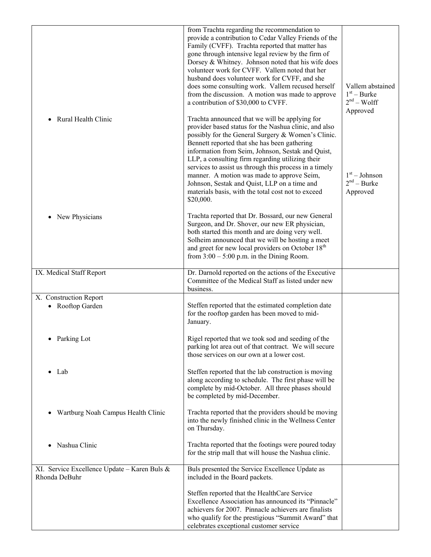| Rural Health Clinic<br>$\bullet$                              | from Trachta regarding the recommendation to<br>provide a contribution to Cedar Valley Friends of the<br>Family (CVFF). Trachta reported that matter has<br>gone through intensive legal review by the firm of<br>Dorsey & Whitney. Johnson noted that his wife does<br>volunteer work for CVFF. Vallem noted that her<br>husband does volunteer work for CVFF, and she<br>does some consulting work. Vallem recused herself<br>from the discussion. A motion was made to approve<br>a contribution of \$30,000 to CVFF.<br>Trachta announced that we will be applying for | Vallem abstained<br>$1st - Burke$<br>$2nd - Wolf$<br>Approved |
|---------------------------------------------------------------|----------------------------------------------------------------------------------------------------------------------------------------------------------------------------------------------------------------------------------------------------------------------------------------------------------------------------------------------------------------------------------------------------------------------------------------------------------------------------------------------------------------------------------------------------------------------------|---------------------------------------------------------------|
|                                                               | provider based status for the Nashua clinic, and also<br>possibly for the General Surgery & Women's Clinic.<br>Bennett reported that she has been gathering<br>information from Seim, Johnson, Sestak and Quist,<br>LLP, a consulting firm regarding utilizing their<br>services to assist us through this process in a timely<br>manner. A motion was made to approve Seim,<br>Johnson, Sestak and Quist, LLP on a time and<br>materials basis, with the total cost not to exceed<br>\$20,000.                                                                            | $1st - Johnson$<br>$2nd$ – Burke<br>Approved                  |
| New Physicians                                                | Trachta reported that Dr. Bossard, our new General<br>Surgeon, and Dr. Shover, our new ER physician,<br>both started this month and are doing very well.<br>Solheim announced that we will be hosting a meet<br>and greet for new local providers on October 18 <sup>th</sup><br>from $3:00 - 5:00$ p.m. in the Dining Room.                                                                                                                                                                                                                                               |                                                               |
| IX. Medical Staff Report                                      | Dr. Darnold reported on the actions of the Executive<br>Committee of the Medical Staff as listed under new<br>business.                                                                                                                                                                                                                                                                                                                                                                                                                                                    |                                                               |
| X. Construction Report                                        |                                                                                                                                                                                                                                                                                                                                                                                                                                                                                                                                                                            |                                                               |
| • Rooftop Garden                                              | Steffen reported that the estimated completion date<br>for the rooftop garden has been moved to mid-<br>January.                                                                                                                                                                                                                                                                                                                                                                                                                                                           |                                                               |
| • Parking Lot                                                 | Rigel reported that we took sod and seeding of the<br>parking lot area out of that contract. We will secure<br>those services on our own at a lower cost.                                                                                                                                                                                                                                                                                                                                                                                                                  |                                                               |
| Lab                                                           | Steffen reported that the lab construction is moving<br>along according to schedule. The first phase will be<br>complete by mid-October. All three phases should<br>be completed by mid-December.                                                                                                                                                                                                                                                                                                                                                                          |                                                               |
| Wartburg Noah Campus Health Clinic<br>٠                       | Trachta reported that the providers should be moving<br>into the newly finished clinic in the Wellness Center<br>on Thursday.                                                                                                                                                                                                                                                                                                                                                                                                                                              |                                                               |
| Nashua Clinic<br>$\bullet$                                    | Trachta reported that the footings were poured today<br>for the strip mall that will house the Nashua clinic.                                                                                                                                                                                                                                                                                                                                                                                                                                                              |                                                               |
| XI. Service Excellence Update - Karen Buls &<br>Rhonda DeBuhr | Buls presented the Service Excellence Update as<br>included in the Board packets.                                                                                                                                                                                                                                                                                                                                                                                                                                                                                          |                                                               |
|                                                               | Steffen reported that the HealthCare Service<br>Excellence Association has announced its "Pinnacle"<br>achievers for 2007. Pinnacle achievers are finalists<br>who qualify for the prestigious "Summit Award" that<br>celebrates exceptional customer service                                                                                                                                                                                                                                                                                                              |                                                               |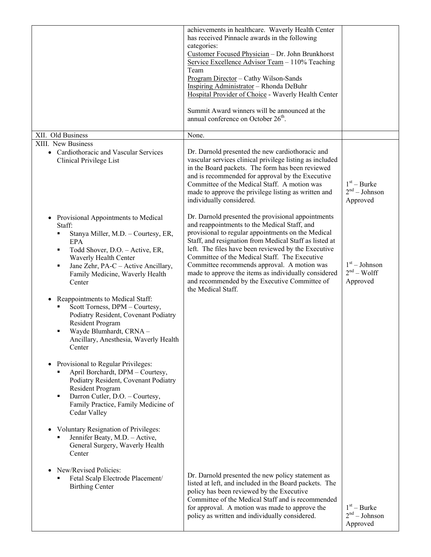|                                                                                                                                                                                                                                                              | achievements in healthcare. Waverly Health Center<br>has received Pinnacle awards in the following<br>categories:<br>Customer Focused Physician - Dr. John Brunkhorst<br>Service Excellence Advisor Team - 110% Teaching<br>Team<br>Program Director - Cathy Wilson-Sands<br>Inspiring Administrator - Rhonda DeBuhr<br>Hospital Provider of Choice - Waverly Health Center<br>Summit Award winners will be announced at the<br>annual conference on October $26th$ .                                    |                                              |
|--------------------------------------------------------------------------------------------------------------------------------------------------------------------------------------------------------------------------------------------------------------|----------------------------------------------------------------------------------------------------------------------------------------------------------------------------------------------------------------------------------------------------------------------------------------------------------------------------------------------------------------------------------------------------------------------------------------------------------------------------------------------------------|----------------------------------------------|
| XII. Old Business                                                                                                                                                                                                                                            | None.                                                                                                                                                                                                                                                                                                                                                                                                                                                                                                    |                                              |
| XIII. New Business<br>• Cardiothoracic and Vascular Services<br>Clinical Privilege List                                                                                                                                                                      | Dr. Darnold presented the new cardiothoracic and<br>vascular services clinical privilege listing as included<br>in the Board packets. The form has been reviewed<br>and is recommended for approval by the Executive<br>Committee of the Medical Staff. A motion was<br>made to approve the privilege listing as written and<br>individually considered.                                                                                                                                                 | $1st - Burke$<br>$2nd - Johnson$<br>Approved |
| Provisional Appointments to Medical<br>Staff:<br>Stanya Miller, M.D. - Courtesy, ER,<br><b>EPA</b><br>Todd Shover, D.O. - Active, ER,<br>٠<br>Waverly Health Center<br>Jane Zehr, PA-C - Active Ancillary,<br>٠<br>Family Medicine, Waverly Health<br>Center | Dr. Darnold presented the provisional appointments<br>and reappointments to the Medical Staff, and<br>provisional to regular appointments on the Medical<br>Staff, and resignation from Medical Staff as listed at<br>left. The files have been reviewed by the Executive<br>Committee of the Medical Staff. The Executive<br>Committee recommends approval. A motion was<br>made to approve the items as individually considered<br>and recommended by the Executive Committee of<br>the Medical Staff. | $1st - Johnson$<br>$2nd - Wolf$<br>Approved  |
| Reappointments to Medical Staff:<br>$\bullet$<br>Scott Torness, DPM - Courtesy,<br>Podiatry Resident, Covenant Podiatry<br>Resident Program<br>Wayde Blumhardt, CRNA -<br>Ancillary, Anesthesia, Waverly Health<br>Center                                    |                                                                                                                                                                                                                                                                                                                                                                                                                                                                                                          |                                              |
| Provisional to Regular Privileges:<br>April Borchardt, DPM - Courtesy,<br>Podiatry Resident, Covenant Podiatry<br>Resident Program<br>Darron Cutler, D.O. - Courtesy,<br>$\blacksquare$<br>Family Practice, Family Medicine of<br>Cedar Valley               |                                                                                                                                                                                                                                                                                                                                                                                                                                                                                                          |                                              |
| Voluntary Resignation of Privileges:<br>Jennifer Beaty, M.D. - Active,<br>General Surgery, Waverly Health<br>Center                                                                                                                                          |                                                                                                                                                                                                                                                                                                                                                                                                                                                                                                          |                                              |
| New/Revised Policies:<br>Fetal Scalp Electrode Placement/<br><b>Birthing Center</b>                                                                                                                                                                          | Dr. Darnold presented the new policy statement as<br>listed at left, and included in the Board packets. The<br>policy has been reviewed by the Executive<br>Committee of the Medical Staff and is recommended<br>for approval. A motion was made to approve the<br>policy as written and individually considered.                                                                                                                                                                                        | $1st - Burke$<br>$2nd - Johnson$<br>Approved |